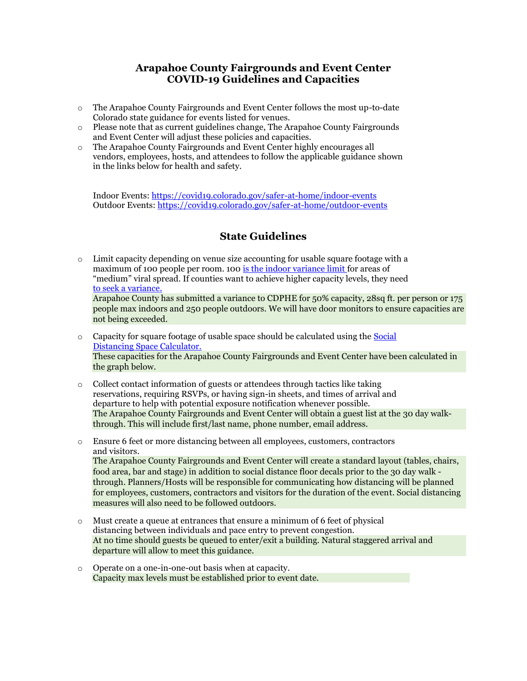## **Arapahoe County Fairgrounds and Event Center COVID-19 Guidelines and Capacities**

- o The Arapahoe County Fairgrounds and Event Center follows the most up-to-date Colorado state guidance for events listed for venues.
- o Please note that as current guidelines change, The Arapahoe County Fairgrounds and Event Center will adjust these policies and capacities.
- o The Arapahoe County Fairgrounds and Event Center highly encourages all vendors, employees, hosts, and attendees to follow the applicable guidance shown in the links below for health and safety.

Indoor Events:<https://covid19.colorado.gov/safer-at-home/indoor-events> Outdoor Events:<https://covid19.colorado.gov/safer-at-home/outdoor-events>

## **State Guidelines**

- $\circ$  Limit capacity depending on venue size accounting for usable square footage with a maximum of 100 people per room. 100 [is the indoor variance limit f](https://covid19.colorado.gov/public-health-executive-orders/local-orders-variances)or areas of "medium" viral spread. If counties want to achieve higher capacity levels, they nee[d](https://covid19.colorado.gov/public-health-executive-orders/local-orders-variances) [to seek a variance.](https://covid19.colorado.gov/public-health-executive-orders/local-orders-variances) Arapahoe County has submitted a variance to CDPHE for 50% capacity, 28sq ft. per person or 175 people max indoors and 250 people outdoors. We will have door monitors to ensure capacities are not being exceeded.
- $\circ$  Capacity for square footage of usable space should be calculated using the Social [Distancing Space Calculator.](https://covid19.colorado.gov/safer-at-home/social-distancing-calculator-for-indoor-and-outdoor-events) These capacities for the Arapahoe County Fairgrounds and Event Center have been calculated in the graph below.
- $\circ$  Collect contact information of guests or attendees through tactics like taking reservations, requiring RSVPs, or having sign-in sheets, and times of arrival and departure to help with potential exposure notification whenever possible. The Arapahoe County Fairgrounds and Event Center will obtain a guest list at the 30 day walkthrough. This will include first/last name, phone number, email address.
- o Ensure 6 feet or more distancing between all employees, customers, contractors and visitors. The Arapahoe County Fairgrounds and Event Center will create a standard layout (tables, chairs, food area, bar and stage) in addition to social distance floor decals prior to the 30 day walk through. Planners/Hosts will be responsible for communicating how distancing will be planned for employees, customers, contractors and visitors for the duration of the event. Social distancing measures will also need to be followed outdoors.
- o Must create a queue at entrances that ensure a minimum of 6 feet of physical distancing between individuals and pace entry to prevent congestion. At no time should guests be queued to enter/exit a building. Natural staggered arrival and departure will allow to meet this guidance.
- o Operate on a one-in-one-out basis when at capacity. Capacity max levels must be established prior to event date.